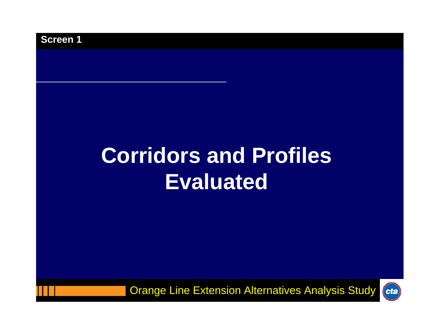# **Corridors and Profiles Evaluated**

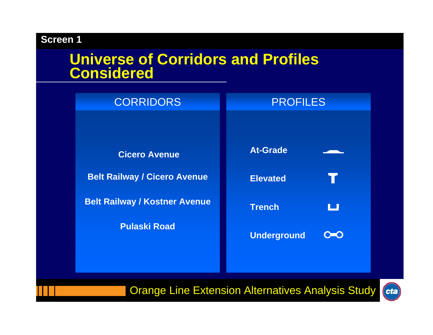# **Universe of Corridors and Profiles Considered**

| <b>CORRIDORS</b>                     | <b>PROFILES</b>           |  |
|--------------------------------------|---------------------------|--|
|                                      |                           |  |
| <b>Cicero Avenue</b>                 | <b>At-Grade</b>           |  |
| <b>Belt Railway / Cicero Avenue</b>  | <b>Elevated</b>           |  |
| <b>Belt Railway / Kostner Avenue</b> | <b>Trench</b><br>ப        |  |
| <b>Pulaski Road</b>                  | <b>Underground</b><br>O=O |  |

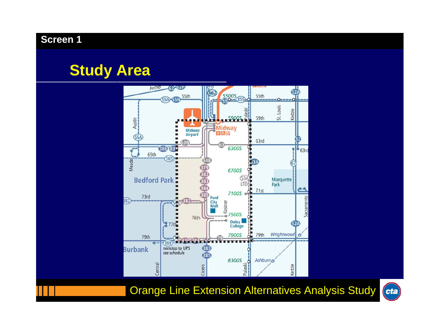# **Study Area**



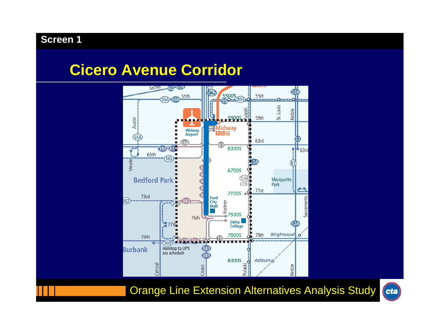# **Cicero Avenue Corridor**



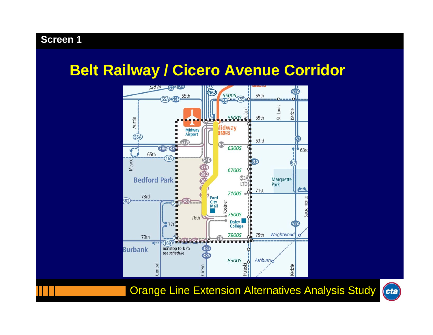# **Belt Railway / Cicero Avenue Corridor**



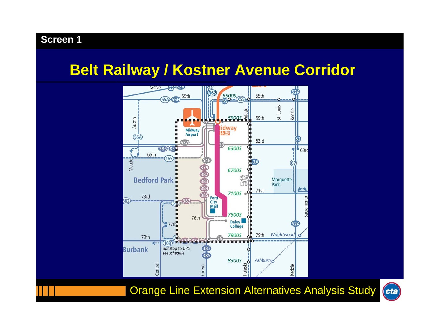# **Belt Railway / Kostner Avenue Corridor**



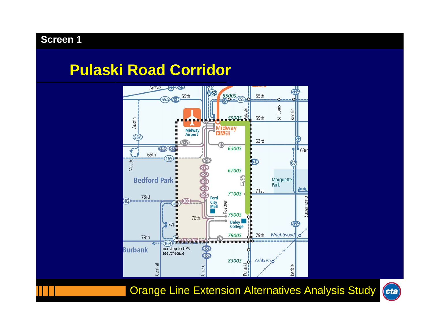# **Pulaski Road Corridor**



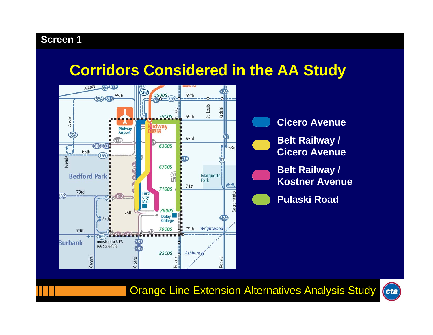# **Corridors Considered in the AA Study**





**Cicero Avenue Belt Railway / Cicero Avenue**



**Belt Railway / Kostner Avenue**

**Pulaski Road**

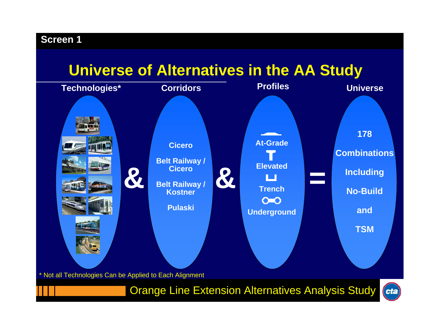# **Universe of Alternatives in the AA Study**

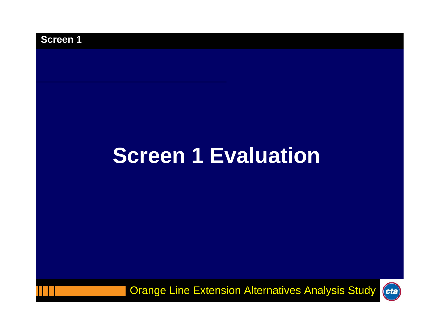

# **Screen 1 Evaluation**

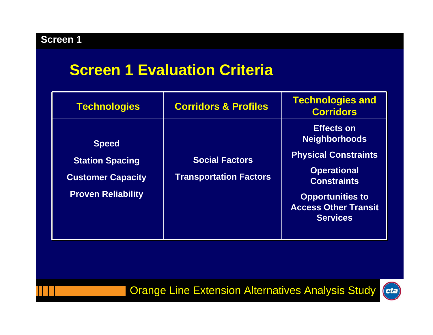# **Screen 1 Evaluation Criteria**

| Technologies                                                                                    | <b>Corridors &amp; Profiles</b>                        | <b>Technologies and</b><br><b>Corridors</b>                                                                                                                                                       |
|-------------------------------------------------------------------------------------------------|--------------------------------------------------------|---------------------------------------------------------------------------------------------------------------------------------------------------------------------------------------------------|
| <b>Speed</b><br><b>Station Spacing</b><br><b>Customer Capacity</b><br><b>Proven Reliability</b> | <b>Social Factors</b><br><b>Transportation Factors</b> | <b>Effects on</b><br><b>Neighborhoods</b><br><b>Physical Constraints</b><br><b>Operational</b><br><b>Constraints</b><br><b>Opportunities to</b><br><b>Access Other Transit</b><br><b>Services</b> |

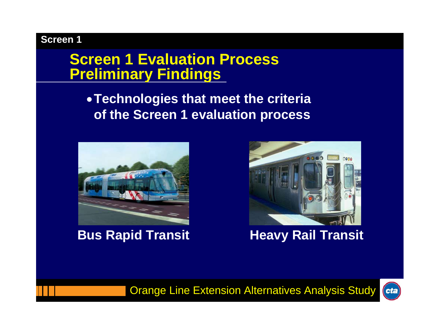# **Screen 1 Evaluation ProcessPreliminary Findings**

# •**Technologies that meet the criteria of the Screen 1 evaluation process**





**Bus Rapid Transit <b>Heavy Rail Transit** 



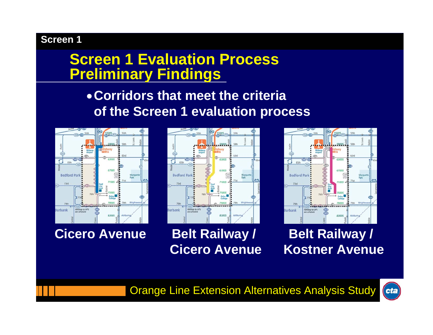# **Screen 1 Evaluation ProcessPreliminary Findings**

# •**Corridors that meet the criteria of the Screen 1 evaluation process**



**Cicero Avenue Belt Railway / Belt Railway /** 





**Cicero Avenue Kostner Avenue**

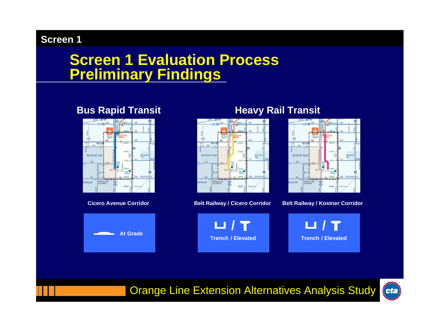# **Screen 1 Evaluation Process Preliminary Findings**



**Cicero Avenue Corridor**





#### **Bus Rapid Transit Heavy Rail Transit**



#### **Belt Railway / Cicero Corridor Belt Railway / Kostner Corridor**



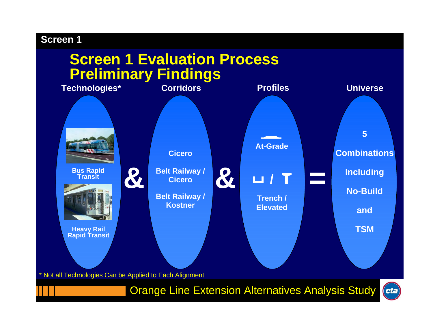# **Screen 1 Evaluation Process Preliminary Findings**

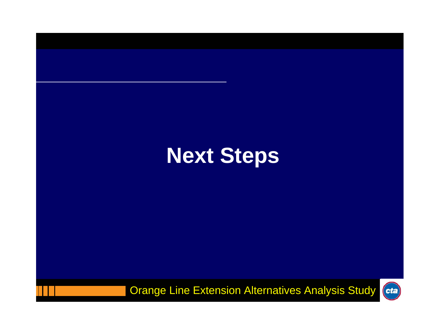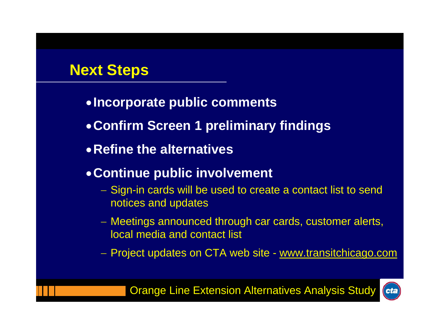# **Next Steps**

- •**Incorporate public comments**
- •**Confirm Screen 1 preliminary findings**
- •**Refine the alternatives**

## •**Continue public involvement**

- Sign-in cards will be used to create a contact list to send notices and updates
- Meetings announced through car cards, customer alerts, local media and contact list
- Project updates on CTA web site <u>www.transitchicago.com</u>